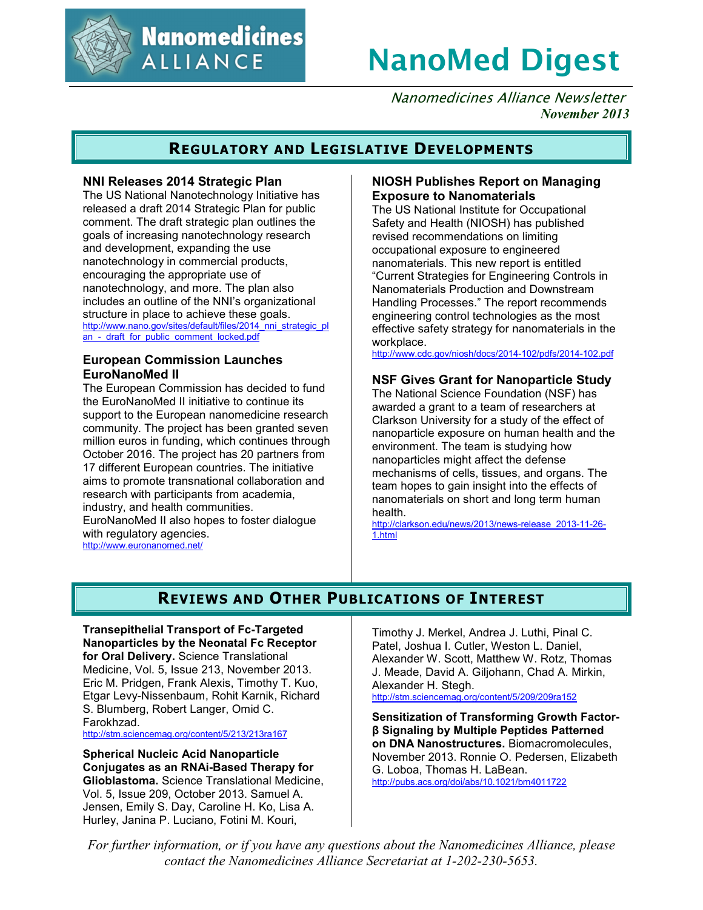

**Nanomedicines ALLIANCE** 

# **NanoMed Digest**

Nanomedicines Alliance Newsletter *November 2013*

## **REGULATORY AND LEGISLATIVE DEVELOPMENTS**

#### **NNI Releases 2014 Strategic Plan**

The US National Nanotechnology Initiative has released a draft 2014 Strategic Plan for public comment. The draft strategic plan outlines the goals of increasing nanotechnology research and development, expanding the use nanotechnology in commercial products, encouraging the appropriate use of nanotechnology, and more. The plan also includes an outline of the NNI's organizational structure in place to achieve these goals. http://www.nano.gov/sites/default/files/2014\_nni\_strategic\_pl an - draft for public comment locked.pdf

#### **European Commission Launches EuroNanoMed II**

The European Commission has decided to fund the EuroNanoMed II initiative to continue its support to the European nanomedicine research community. The project has been granted seven million euros in funding, which continues through October 2016. The project has 20 partners from 17 different European countries. The initiative aims to promote transnational collaboration and research with participants from academia, industry, and health communities. EuroNanoMed II also hopes to foster dialogue with regulatory agencies.

http://www.euronanomed.net/

#### **NIOSH Publishes Report on Managing Exposure to Nanomaterials**

The US National Institute for Occupational Safety and Health (NIOSH) has published revised recommendations on limiting occupational exposure to engineered nanomaterials. This new report is entitled "Current Strategies for Engineering Controls in Nanomaterials Production and Downstream Handling Processes." The report recommends engineering control technologies as the most effective safety strategy for nanomaterials in the workplace.

http://www.cdc.gov/niosh/docs/2014-102/pdfs/2014-102.pdf

#### **NSF Gives Grant for Nanoparticle Study**

The National Science Foundation (NSF) has awarded a grant to a team of researchers at Clarkson University for a study of the effect of nanoparticle exposure on human health and the environment. The team is studying how nanoparticles might affect the defense mechanisms of cells, tissues, and organs. The team hopes to gain insight into the effects of nanomaterials on short and long term human health.

http://clarkson.edu/news/2013/news-release\_2013-11-26- 1.html

# **REVIEWS AND OTHER PUBLICATIONS OF INTEREST**

**Transepithelial Transport of Fc-Targeted Nanoparticles by the Neonatal Fc Receptor for Oral Delivery.** Science Translational Medicine, Vol. 5, Issue 213, November 2013. Eric M. Pridgen, Frank Alexis, Timothy T. Kuo, Etgar Levy-Nissenbaum, Rohit Karnik, Richard

S. Blumberg, Robert Langer, Omid C. Farokhzad.

http://stm.sciencemag.org/content/5/213/213ra167

**Spherical Nucleic Acid Nanoparticle Conjugates as an RNAi-Based Therapy for Glioblastoma.** Science Translational Medicine, Vol. 5, Issue 209, October 2013. Samuel A. Jensen, Emily S. Day, Caroline H. Ko, Lisa A. Hurley, Janina P. Luciano, Fotini M. Kouri,

Timothy J. Merkel, Andrea J. Luthi, Pinal C. Patel, Joshua I. Cutler, Weston L. Daniel, Alexander W. Scott, Matthew W. Rotz, Thomas J. Meade, David A. Giljohann, Chad A. Mirkin, Alexander H. Stegh. http://stm.sciencemag.org/content/5/209/209ra152

**Sensitization of Transforming Growth Factorβ Signaling by Multiple Peptides Patterned on DNA Nanostructures.** Biomacromolecules, November 2013. Ronnie O. Pedersen, Elizabeth G. Loboa, Thomas H. LaBean. http://pubs.acs.org/doi/abs/10.1021/bm4011722

*For further information, or if you have any questions about the Nanomedicines Alliance, please contact the Nanomedicines Alliance Secretariat at 1-202-230-5653.*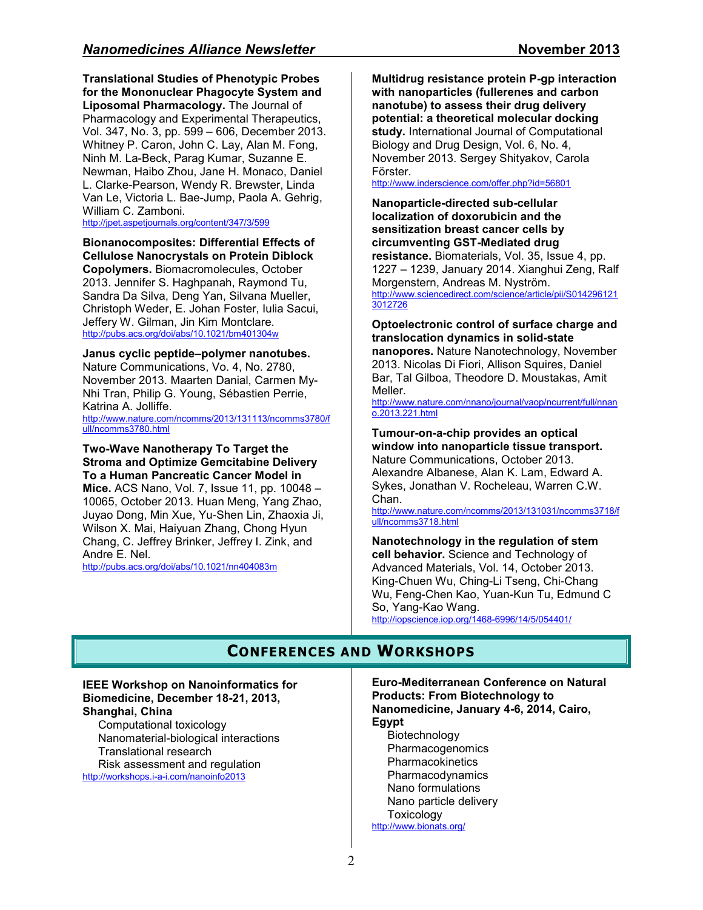**Translational Studies of Phenotypic Probes for the Mononuclear Phagocyte System and Liposomal Pharmacology.** The Journal of Pharmacology and Experimental Therapeutics, Vol. 347, No. 3, pp. 599 – 606, December 2013. Whitney P. Caron, John C. Lay, Alan M. Fong, Ninh M. La-Beck, Parag Kumar, Suzanne E. Newman, Haibo Zhou, Jane H. Monaco, Daniel L. Clarke-Pearson, Wendy R. Brewster, Linda Van Le, Victoria L. Bae-Jump, Paola A. Gehrig, William C. Zamboni.

http://jpet.aspetjournals.org/content/347/3/599

**Bionanocomposites: Differential Effects of Cellulose Nanocrystals on Protein Diblock Copolymers.** Biomacromolecules, October 2013. Jennifer S. Haghpanah, Raymond Tu, Sandra Da Silva, Deng Yan, Silvana Mueller, Christoph Weder, E. Johan Foster, Iulia Sacui, Jeffery W. Gilman, Jin Kim Montclare. http://pubs.acs.org/doi/abs/10.1021/bm401304w

#### **Janus cyclic peptide–polymer nanotubes.**

Nature Communications, Vo. 4, No. 2780, November 2013. Maarten Danial, Carmen My-Nhi Tran, Philip G. Young, Sébastien Perrie, Katrina A. Jolliffe.

http://www.nature.com/ncomms/2013/131113/ncomms3780/f ull/ncomms3780.html

#### **Two-Wave Nanotherapy To Target the Stroma and Optimize Gemcitabine Delivery To a Human Pancreatic Cancer Model in**

**Mice.** ACS Nano, Vol. 7, Issue 11, pp. 10048 – 10065, October 2013. Huan Meng, Yang Zhao, Juyao Dong, Min Xue, Yu-Shen Lin, Zhaoxia Ji, Wilson X. Mai, Haiyuan Zhang, Chong Hyun Chang, C. Jeffrey Brinker, Jeffrey I. Zink, and Andre E. Nel.

http://pubs.acs.org/doi/abs/10.1021/nn404083m

**Multidrug resistance protein P-gp interaction with nanoparticles (fullerenes and carbon nanotube) to assess their drug delivery potential: a theoretical molecular docking study.** International Journal of Computational Biology and Drug Design, Vol. 6, No. 4, November 2013. Sergey Shityakov, Carola Förster.

http://www.inderscience.com/offer.php?id=56801

**Nanoparticle-directed sub-cellular localization of doxorubicin and the sensitization breast cancer cells by circumventing GST-Mediated drug resistance.** Biomaterials, Vol. 35, Issue 4, pp. 1227 – 1239, January 2014. Xianghui Zeng, Ralf Morgenstern, Andreas M. Nyström. http://www.sciencedirect.com/science/article/pii/S014296121 3012726

#### **Optoelectronic control of surface charge and translocation dynamics in solid-state nanopores.** Nature Nanotechnology, November

2013. Nicolas Di Fiori, Allison Squires, Daniel Bar, Tal Gilboa, Theodore D. Moustakas, Amit Meller.

http://www.nature.com/nnano/journal/vaop/ncurrent/full/nnan o.2013.221.html

#### **Tumour-on-a-chip provides an optical window into nanoparticle tissue transport.** Nature Communications, October 2013. Alexandre Albanese, Alan K. Lam, Edward A.

Sykes, Jonathan V. Rocheleau, Warren C.W. Chan.

http://www.nature.com/ncomms/2013/131031/ncomms3718/f ull/ncomms3718.html

#### **Nanotechnology in the regulation of stem cell behavior.** Science and Technology of Advanced Materials, Vol. 14, October 2013. King-Chuen Wu, Ching-Li Tseng, Chi-Chang Wu, Feng-Chen Kao, Yuan-Kun Tu, Edmund C So, Yang-Kao Wang. http://iopscience.iop.org/1468-6996/14/5/054401/

## **CONFERENCES AND WORKSHOPS**

#### **IEEE Workshop on Nanoinformatics for Biomedicine, December 18-21, 2013, Shanghai, China**

Computational toxicology Nanomaterial-biological interactions Translational research Risk assessment and regulation

http://workshops.i-a-i.com/nanoinfo2013

**Euro-Mediterranean Conference on Natural Products: From Biotechnology to Nanomedicine, January 4-6, 2014, Cairo, Egypt** 

Biotechnology Pharmacogenomics Pharmacokinetics Pharmacodynamics Nano formulations Nano particle delivery Toxicology http://www.bionats.org/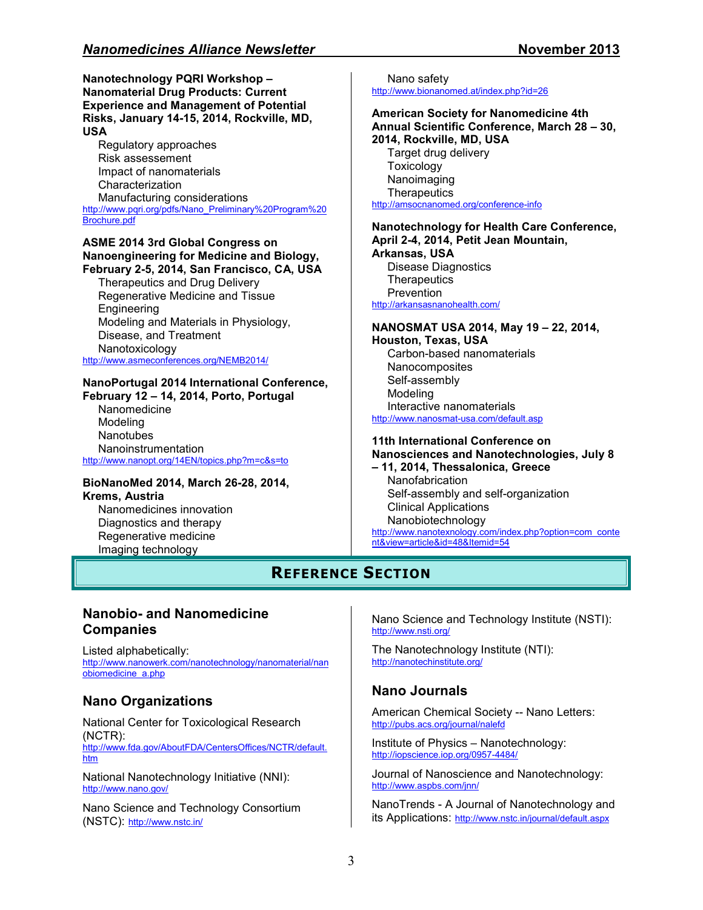#### **Nanotechnology PQRI Workshop – Nanomaterial Drug Products: Current Experience and Management of Potential Risks, January 14-15, 2014, Rockville, MD, USA**

Regulatory approaches Risk assessement Impact of nanomaterials Characterization Manufacturing considerations http://www.pqri.org/pdfs/Nano\_Preliminary%20Program%20 Brochure.pdf

#### **ASME 2014 3rd Global Congress on Nanoengineering for Medicine and Biology, February 2-5, 2014, San Francisco, CA, USA**

Therapeutics and Drug Delivery Regenerative Medicine and Tissue Engineering Modeling and Materials in Physiology, Disease, and Treatment Nanotoxicology http://www.asmeconferences.org/NEMB2014/

#### **NanoPortugal 2014 International Conference, February 12 – 14, 2014, Porto, Portugal**

Nanomedicine Modeling **Nanotubes** Nanoinstrumentation http://www.nanopt.org/14EN/topics.php?m=c&s=to

#### **BioNanoMed 2014, March 26-28, 2014, Krems, Austria**

Nanomedicines innovation Diagnostics and therapy Regenerative medicine Imaging technology

#### Nano safety http://www.bionanomed.at/index.php?id=26

#### **American Society for Nanomedicine 4th Annual Scientific Conference, March 28 – 30, 2014, Rockville, MD, USA**

Target drug delivery **Toxicology** Nanoimaging **Therapeutics** http://amsocnanomed.org/conference-info

#### **Nanotechnology for Health Care Conference, April 2-4, 2014, Petit Jean Mountain,**

**Arkansas, USA**  Disease Diagnostics **Therapeutics** Prevention http://arkansasnanohealth.com/

#### **NANOSMAT USA 2014, May 19 – 22, 2014,**

**Houston, Texas, USA**  Carbon-based nanomaterials **Nanocomposites** Self-assembly Modeling Interactive nanomaterials http://www.nanosmat-usa.com/default.asp

#### **11th International Conference on Nanosciences and Nanotechnologies, July 8**

# **– 11, 2014, Thessalonica, Greece**

Nanofabrication Self-assembly and self-organization Clinical Applications Nanobiotechnology http://www.nanotexnology.com/index.php?option=com\_conte nt&view=article&id=48&Itemid=54

# **REFERENCE SECTION**

### **Nanobio- and Nanomedicine Companies**

Listed alphabetically: http://www.nanowerk.com/nanotechnology/nanomaterial/nan obiomedicine\_a.php

## **Nano Organizations**

National Center for Toxicological Research (NCTR): http://www.fda.gov/AboutFDA/CentersOffices/NCTR/default. htm

National Nanotechnology Initiative (NNI): http://www.nano.gov/

Nano Science and Technology Consortium (NSTC): http://www.nstc.in/

Nano Science and Technology Institute (NSTI): http://www.nsti.org/

The Nanotechnology Institute (NTI): http://nanotechinstitute.org/

## **Nano Journals**

American Chemical Society -- Nano Letters: http://pubs.acs.org/journal/nalefd

Institute of Physics – Nanotechnology: http://iopscience.iop.org/0957-4484/

Journal of Nanoscience and Nanotechnology: http://www.aspbs.com/jnn/

NanoTrends - A Journal of Nanotechnology and its Applications: http://www.nstc.in/journal/default.aspx